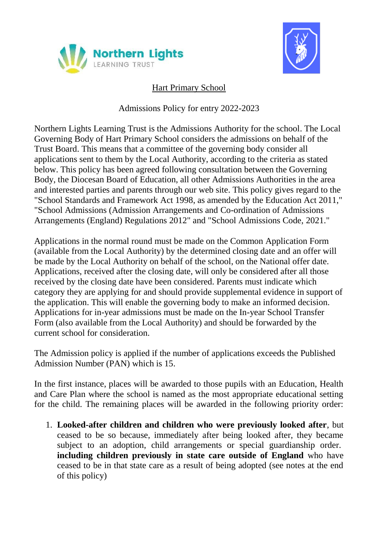



## Hart Primary School

Admissions Policy for entry 2022-2023

Northern Lights Learning Trust is the Admissions Authority for the school. The Local Governing Body of Hart Primary School considers the admissions on behalf of the Trust Board. This means that a committee of the governing body consider all applications sent to them by the Local Authority, according to the criteria as stated below. This policy has been agreed following consultation between the Governing Body, the Diocesan Board of Education, all other Admissions Authorities in the area and interested parties and parents through our web site. This policy gives regard to the "School Standards and Framework Act 1998, as amended by the Education Act 2011," "School Admissions (Admission Arrangements and Co-ordination of Admissions Arrangements (England) Regulations 2012" and "School Admissions Code, 2021."

Applications in the normal round must be made on the Common Application Form (available from the Local Authority) by the determined closing date and an offer will be made by the Local Authority on behalf of the school, on the National offer date. Applications, received after the closing date, will only be considered after all those received by the closing date have been considered. Parents must indicate which category they are applying for and should provide supplemental evidence in support of the application. This will enable the governing body to make an informed decision. Applications for in-year admissions must be made on the In-year School Transfer Form (also available from the Local Authority) and should be forwarded by the current school for consideration.

The Admission policy is applied if the number of applications exceeds the Published Admission Number (PAN) which is 15.

In the first instance, places will be awarded to those pupils with an Education, Health and Care Plan where the school is named as the most appropriate educational setting for the child. The remaining places will be awarded in the following priority order:

1. **Looked-after children and children who were previously looked after**, but ceased to be so because, immediately after being looked after, they became subject to an adoption, child arrangements or special guardianship order. **including children previously in state care outside of England** who have ceased to be in that state care as a result of being adopted (see notes at the end of this policy)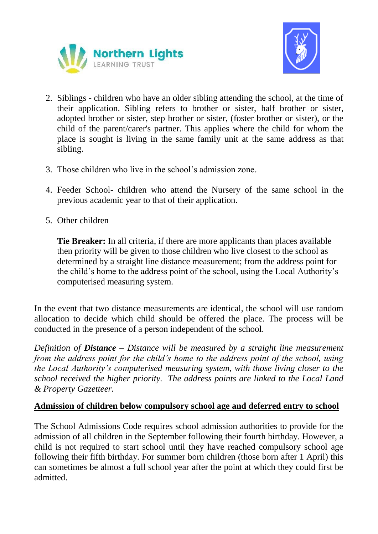



- 2. Siblings children who have an older sibling attending the school, at the time of their application. Sibling refers to brother or sister, half brother or sister, adopted brother or sister, step brother or sister, (foster brother or sister), or the child of the parent/carer's partner. This applies where the child for whom the place is sought is living in the same family unit at the same address as that sibling.
- 3. Those children who live in the school's admission zone.
- 4. Feeder School- children who attend the Nursery of the same school in the previous academic year to that of their application.
- 5. Other children

**Tie Breaker:** In all criteria, if there are more applicants than places available then priority will be given to those children who live closest to the school as determined by a straight line distance measurement; from the address point for the child's home to the address point of the school, using the Local Authority's computerised measuring system.

In the event that two distance measurements are identical, the school will use random allocation to decide which child should be offered the place. The process will be conducted in the presence of a person independent of the school.

*Definition of Distance – Distance will be measured by a straight line measurement from the address point for the child's home to the address point of the school, using the Local Authority's computerised measuring system, with those living closer to the school received the higher priority. The address points are linked to the Local Land & Property Gazetteer.*

## **Admission of children below compulsory school age and deferred entry to school**

The School Admissions Code requires school admission authorities to provide for the admission of all children in the September following their fourth birthday. However, a child is not required to start school until they have reached compulsory school age following their fifth birthday. For summer born children (those born after 1 April) this can sometimes be almost a full school year after the point at which they could first be admitted.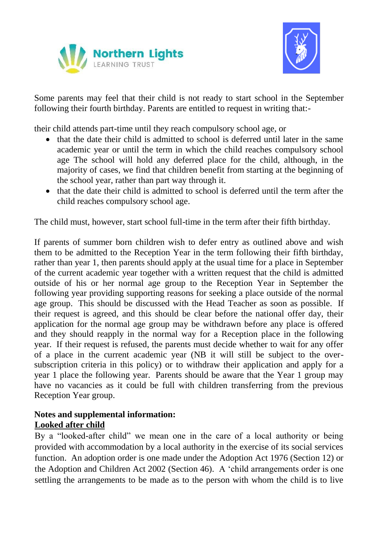



Some parents may feel that their child is not ready to start school in the September following their fourth birthday. Parents are entitled to request in writing that:-

their child attends part-time until they reach compulsory school age, or

- that the date their child is admitted to school is deferred until later in the same academic year or until the term in which the child reaches compulsory school age The school will hold any deferred place for the child, although, in the majority of cases, we find that children benefit from starting at the beginning of the school year, rather than part way through it.
- that the date their child is admitted to school is deferred until the term after the child reaches compulsory school age.

The child must, however, start school full-time in the term after their fifth birthday.

If parents of summer born children wish to defer entry as outlined above and wish them to be admitted to the Reception Year in the term following their fifth birthday, rather than year 1, then parents should apply at the usual time for a place in September of the current academic year together with a written request that the child is admitted outside of his or her normal age group to the Reception Year in September the following year providing supporting reasons for seeking a place outside of the normal age group. This should be discussed with the Head Teacher as soon as possible. If their request is agreed, and this should be clear before the national offer day, their application for the normal age group may be withdrawn before any place is offered and they should reapply in the normal way for a Reception place in the following year. If their request is refused, the parents must decide whether to wait for any offer of a place in the current academic year (NB it will still be subject to the oversubscription criteria in this policy) or to withdraw their application and apply for a year 1 place the following year. Parents should be aware that the Year 1 group may have no vacancies as it could be full with children transferring from the previous Reception Year group.

## **Notes and supplemental information: Looked after child**

By a "looked-after child" we mean one in the care of a local authority or being provided with accommodation by a local authority in the exercise of its social services function. An adoption order is one made under the Adoption Act 1976 (Section 12) or the Adoption and Children Act 2002 (Section 46). A 'child arrangements order is one settling the arrangements to be made as to the person with whom the child is to live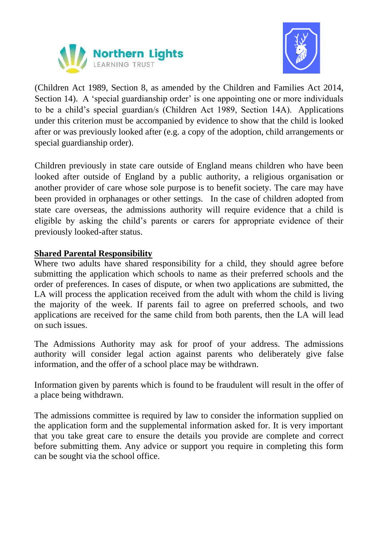



(Children Act 1989, Section 8, as amended by the Children and Families Act 2014, Section 14). A 'special guardianship order' is one appointing one or more individuals to be a child's special guardian/s (Children Act 1989, Section 14A). Applications under this criterion must be accompanied by evidence to show that the child is looked after or was previously looked after (e.g. a copy of the adoption, child arrangements or special guardianship order).

Children previously in state care outside of England means children who have been looked after outside of England by a public authority, a religious organisation or another provider of care whose sole purpose is to benefit society. The care may have been provided in orphanages or other settings. In the case of children adopted from state care overseas, the admissions authority will require evidence that a child is eligible by asking the child's parents or carers for appropriate evidence of their previously looked-after status.

## **Shared Parental Responsibility**

Where two adults have shared responsibility for a child, they should agree before submitting the application which schools to name as their preferred schools and the order of preferences. In cases of dispute, or when two applications are submitted, the LA will process the application received from the adult with whom the child is living the majority of the week. If parents fail to agree on preferred schools, and two applications are received for the same child from both parents, then the LA will lead on such issues.

The Admissions Authority may ask for proof of your address. The admissions authority will consider legal action against parents who deliberately give false information, and the offer of a school place may be withdrawn.

Information given by parents which is found to be fraudulent will result in the offer of a place being withdrawn.

The admissions committee is required by law to consider the information supplied on the application form and the supplemental information asked for. It is very important that you take great care to ensure the details you provide are complete and correct before submitting them. Any advice or support you require in completing this form can be sought via the school office.